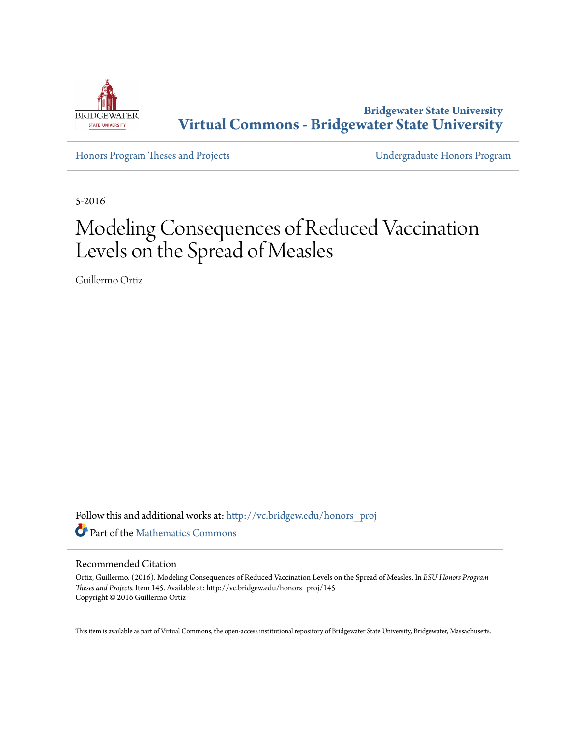

**Bridgewater State University [Virtual Commons - Bridgewater State University](http://vc.bridgew.edu?utm_source=vc.bridgew.edu%2Fhonors_proj%2F145&utm_medium=PDF&utm_campaign=PDFCoverPages)**

[Honors Program Theses and Projects](http://vc.bridgew.edu/honors_proj?utm_source=vc.bridgew.edu%2Fhonors_proj%2F145&utm_medium=PDF&utm_campaign=PDFCoverPages) [Undergraduate Honors Program](http://vc.bridgew.edu/honors?utm_source=vc.bridgew.edu%2Fhonors_proj%2F145&utm_medium=PDF&utm_campaign=PDFCoverPages)

5-2016

# Modeling Consequences of Reduced Vaccination Levels on the Spread of Measles

Guillermo Ortiz

Follow this and additional works at: [http://vc.bridgew.edu/honors\\_proj](http://vc.bridgew.edu/honors_proj?utm_source=vc.bridgew.edu%2Fhonors_proj%2F145&utm_medium=PDF&utm_campaign=PDFCoverPages) Part of the [Mathematics Commons](http://network.bepress.com/hgg/discipline/174?utm_source=vc.bridgew.edu%2Fhonors_proj%2F145&utm_medium=PDF&utm_campaign=PDFCoverPages)

#### Recommended Citation

Ortiz, Guillermo. (2016). Modeling Consequences of Reduced Vaccination Levels on the Spread of Measles. In *BSU Honors Program Theses and Projects.* Item 145. Available at: http://vc.bridgew.edu/honors\_proj/145 Copyright © 2016 Guillermo Ortiz

This item is available as part of Virtual Commons, the open-access institutional repository of Bridgewater State University, Bridgewater, Massachusetts.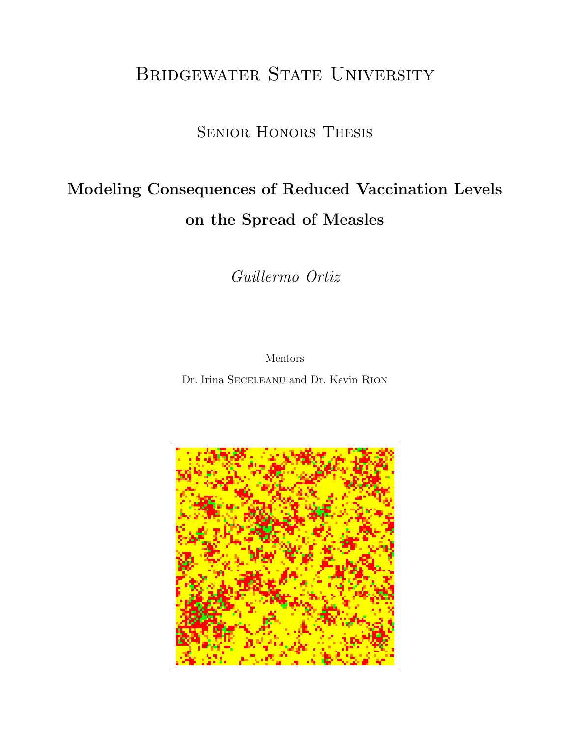# BRIDGEWATER STATE UNIVERSITY

## Senior Honors Thesis

# Modeling Consequences of Reduced Vaccination Levels on the Spread of Measles

Guillermo Ortiz

Mentors

Dr. Irina Seceleanu and Dr. Kevin Rion

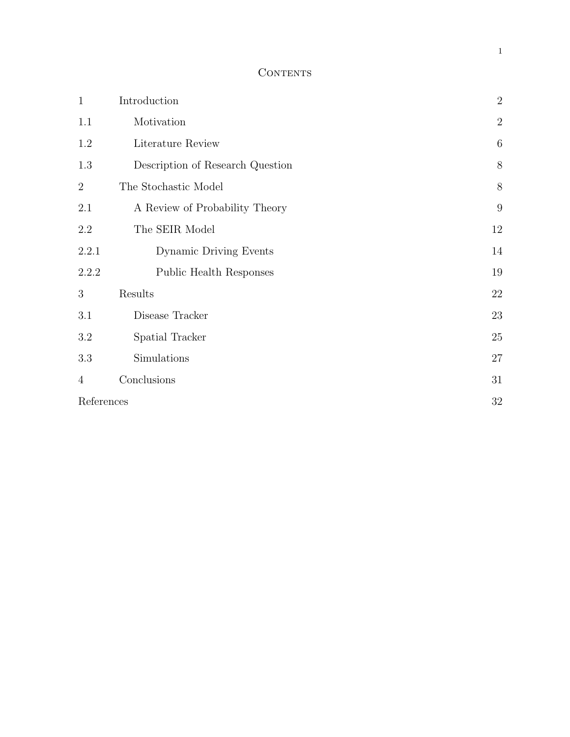#### **CONTENTS**

| $\mathbf{1}$   | Introduction                     | $\overline{2}$   |
|----------------|----------------------------------|------------------|
| 1.1            | Motivation                       | $\sqrt{2}$       |
| 1.2            | Literature Review                | $\boldsymbol{6}$ |
| 1.3            | Description of Research Question | 8                |
| $\overline{2}$ | The Stochastic Model             | 8                |
| 2.1            | A Review of Probability Theory   | 9                |
| 2.2            | The SEIR Model                   | 12               |
| 2.2.1          | Dynamic Driving Events           | 14               |
| 2.2.2          | Public Health Responses          | 19               |
| 3              | Results                          | 22               |
| 3.1            | Disease Tracker                  | 23               |
| 3.2            | Spatial Tracker                  | 25               |
| 3.3            | Simulations                      | 27               |
| $\overline{4}$ | Conclusions                      | 31               |
| References     |                                  | 32               |

1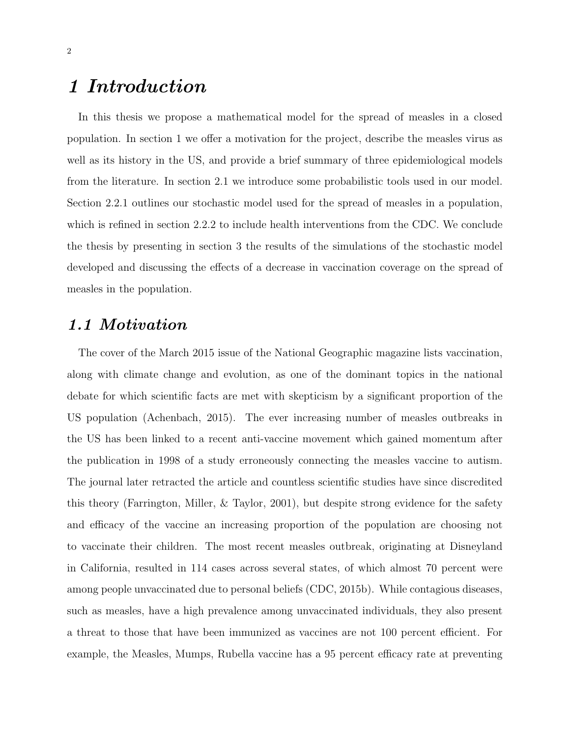## 1 Introduction

In this thesis we propose a mathematical model for the spread of measles in a closed population. In section 1 we offer a motivation for the project, describe the measles virus as well as its history in the US, and provide a brief summary of three epidemiological models from the literature. In section 2.1 we introduce some probabilistic tools used in our model. Section 2.2.1 outlines our stochastic model used for the spread of measles in a population, which is refined in section 2.2.2 to include health interventions from the CDC. We conclude the thesis by presenting in section 3 the results of the simulations of the stochastic model developed and discussing the effects of a decrease in vaccination coverage on the spread of measles in the population.

#### 1.1 Motivation

The cover of the March 2015 issue of the National Geographic magazine lists vaccination, along with climate change and evolution, as one of the dominant topics in the national debate for which scientific facts are met with skepticism by a significant proportion of the US population (Achenbach, 2015). The ever increasing number of measles outbreaks in the US has been linked to a recent anti-vaccine movement which gained momentum after the publication in 1998 of a study erroneously connecting the measles vaccine to autism. The journal later retracted the article and countless scientific studies have since discredited this theory (Farrington, Miller, & Taylor, 2001), but despite strong evidence for the safety and efficacy of the vaccine an increasing proportion of the population are choosing not to vaccinate their children. The most recent measles outbreak, originating at Disneyland in California, resulted in 114 cases across several states, of which almost 70 percent were among people unvaccinated due to personal beliefs (CDC, 2015b). While contagious diseases, such as measles, have a high prevalence among unvaccinated individuals, they also present a threat to those that have been immunized as vaccines are not 100 percent efficient. For example, the Measles, Mumps, Rubella vaccine has a 95 percent efficacy rate at preventing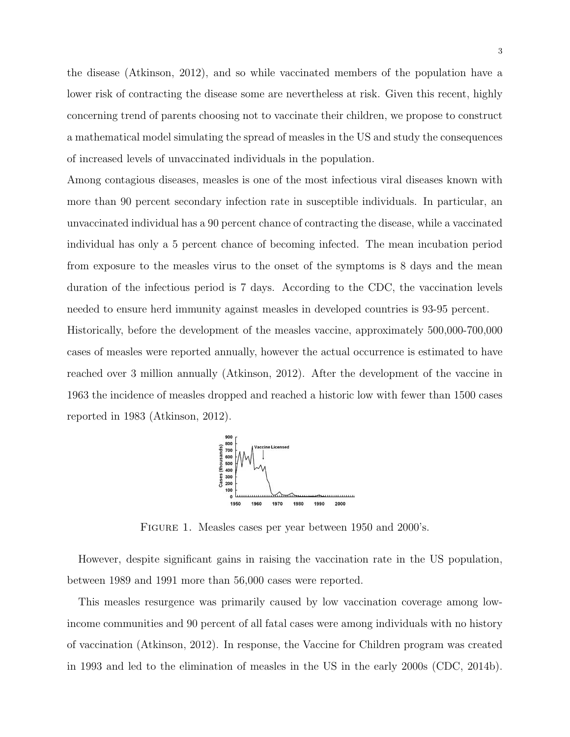the disease (Atkinson, 2012), and so while vaccinated members of the population have a lower risk of contracting the disease some are nevertheless at risk. Given this recent, highly concerning trend of parents choosing not to vaccinate their children, we propose to construct a mathematical model simulating the spread of measles in the US and study the consequences of increased levels of unvaccinated individuals in the population.

Among contagious diseases, measles is one of the most infectious viral diseases known with more than 90 percent secondary infection rate in susceptible individuals. In particular, an unvaccinated individual has a 90 percent chance of contracting the disease, while a vaccinated individual has only a 5 percent chance of becoming infected. The mean incubation period from exposure to the measles virus to the onset of the symptoms is 8 days and the mean duration of the infectious period is 7 days. According to the CDC, the vaccination levels needed to ensure herd immunity against measles in developed countries is 93-95 percent. Historically, before the development of the measles vaccine, approximately 500,000-700,000 cases of measles were reported annually, however the actual occurrence is estimated to have reached over 3 million annually (Atkinson, 2012). After the development of the vaccine in 1963 the incidence of measles dropped and reached a historic low with fewer than 1500 cases

reported in 1983 (Atkinson, 2012).



FIGURE 1. Measles cases per year between 1950 and 2000's.

However, despite significant gains in raising the vaccination rate in the US population, between 1989 and 1991 more than 56,000 cases were reported.

This measles resurgence was primarily caused by low vaccination coverage among lowincome communities and 90 percent of all fatal cases were among individuals with no history of vaccination (Atkinson, 2012). In response, the Vaccine for Children program was created in 1993 and led to the elimination of measles in the US in the early 2000s (CDC, 2014b).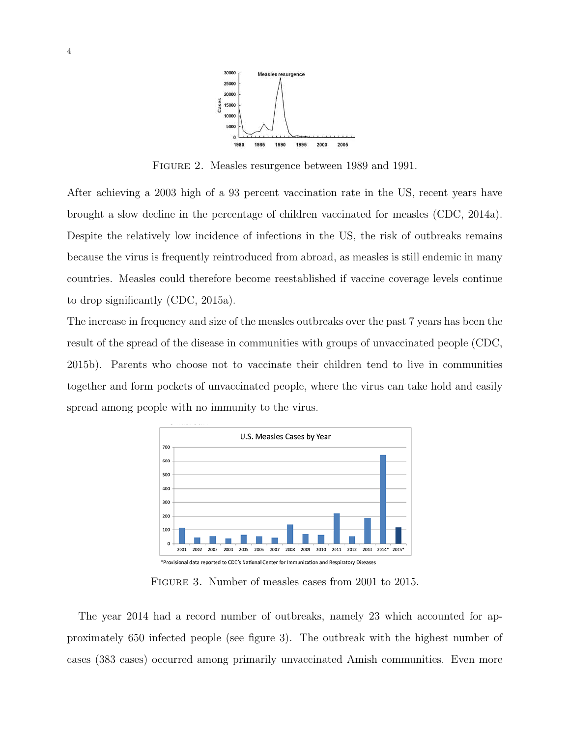

FIGURE 2. Measles resurgence between 1989 and 1991.

After achieving a 2003 high of a 93 percent vaccination rate in the US, recent years have brought a slow decline in the percentage of children vaccinated for measles (CDC, 2014a). Despite the relatively low incidence of infections in the US, the risk of outbreaks remains because the virus is frequently reintroduced from abroad, as measles is still endemic in many countries. Measles could therefore become reestablished if vaccine coverage levels continue to drop significantly (CDC, 2015a).

The increase in frequency and size of the measles outbreaks over the past 7 years has been the result of the spread of the disease in communities with groups of unvaccinated people (CDC, 2015b). Parents who choose not to vaccinate their children tend to live in communities together and form pockets of unvaccinated people, where the virus can take hold and easily spread among people with no immunity to the virus.



Figure 3. Number of measles cases from 2001 to 2015.

The year 2014 had a record number of outbreaks, namely 23 which accounted for approximately 650 infected people (see figure 3). The outbreak with the highest number of cases (383 cases) occurred among primarily unvaccinated Amish communities. Even more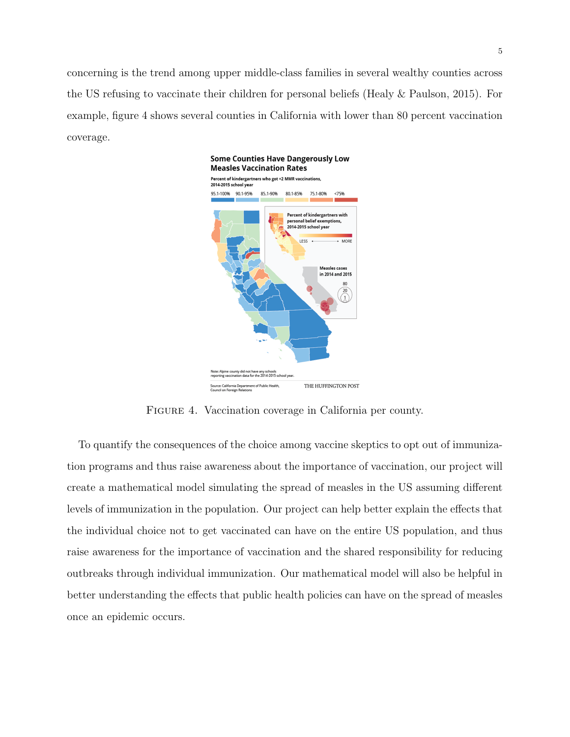concerning is the trend among upper middle-class families in several wealthy counties across the US refusing to vaccinate their children for personal beliefs (Healy & Paulson, 2015). For example, figure 4 shows several counties in California with lower than 80 percent vaccination coverage.



FIGURE 4. Vaccination coverage in California per county.

To quantify the consequences of the choice among vaccine skeptics to opt out of immunization programs and thus raise awareness about the importance of vaccination, our project will create a mathematical model simulating the spread of measles in the US assuming different levels of immunization in the population. Our project can help better explain the effects that the individual choice not to get vaccinated can have on the entire US population, and thus raise awareness for the importance of vaccination and the shared responsibility for reducing outbreaks through individual immunization. Our mathematical model will also be helpful in better understanding the effects that public health policies can have on the spread of measles once an epidemic occurs.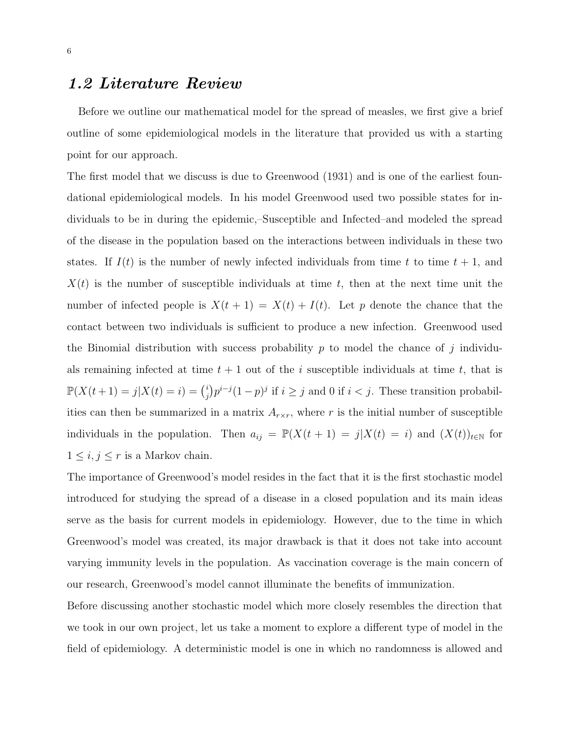#### 1.2 Literature Review

Before we outline our mathematical model for the spread of measles, we first give a brief outline of some epidemiological models in the literature that provided us with a starting point for our approach.

The first model that we discuss is due to Greenwood (1931) and is one of the earliest foundational epidemiological models. In his model Greenwood used two possible states for individuals to be in during the epidemic,–Susceptible and Infected–and modeled the spread of the disease in the population based on the interactions between individuals in these two states. If  $I(t)$  is the number of newly infected individuals from time t to time  $t + 1$ , and  $X(t)$  is the number of susceptible individuals at time t, then at the next time unit the number of infected people is  $X(t + 1) = X(t) + I(t)$ . Let p denote the chance that the contact between two individuals is sufficient to produce a new infection. Greenwood used the Binomial distribution with success probability  $p$  to model the chance of j individuals remaining infected at time  $t + 1$  out of the i susceptible individuals at time t, that is  $\mathbb{P}(X(t+1) = j | X(t) = i) = \binom{i}{i}$  $j \choose j$   $p^{i-j}(1-p)^j$  if  $i \geq j$  and 0 if  $i < j$ . These transition probabilities can then be summarized in a matrix  $A_{r \times r}$ , where r is the initial number of susceptible individuals in the population. Then  $a_{ij} = \mathbb{P}(X(t + 1) = j | X(t) = i)$  and  $(X(t))_{t \in \mathbb{N}}$  for  $1 \leq i, j \leq r$  is a Markov chain.

The importance of Greenwood's model resides in the fact that it is the first stochastic model introduced for studying the spread of a disease in a closed population and its main ideas serve as the basis for current models in epidemiology. However, due to the time in which Greenwood's model was created, its major drawback is that it does not take into account varying immunity levels in the population. As vaccination coverage is the main concern of our research, Greenwood's model cannot illuminate the benefits of immunization.

Before discussing another stochastic model which more closely resembles the direction that we took in our own project, let us take a moment to explore a different type of model in the field of epidemiology. A deterministic model is one in which no randomness is allowed and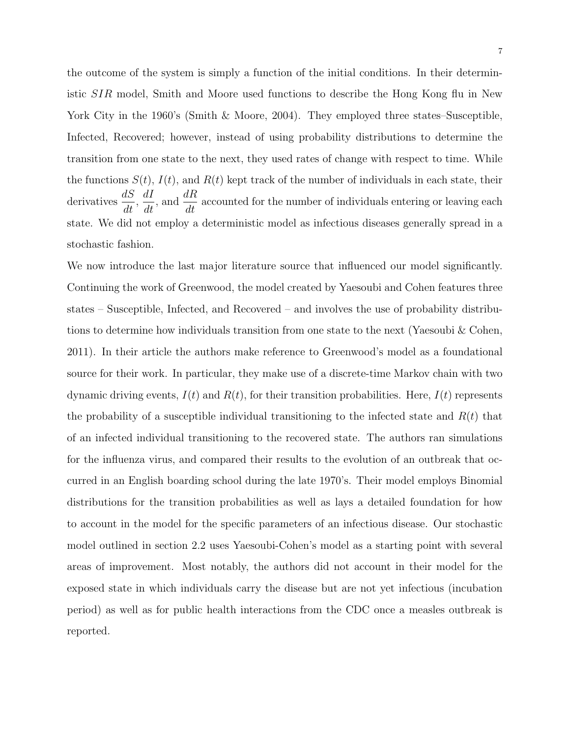the outcome of the system is simply a function of the initial conditions. In their deterministic SIR model, Smith and Moore used functions to describe the Hong Kong flu in New York City in the 1960's (Smith & Moore, 2004). They employed three states–Susceptible, Infected, Recovered; however, instead of using probability distributions to determine the transition from one state to the next, they used rates of change with respect to time. While the functions  $S(t)$ ,  $I(t)$ , and  $R(t)$  kept track of the number of individuals in each state, their derivatives  $\frac{dS}{dt}$  $\frac{dS}{dt}$ ,  $\frac{dI}{dt}$ , and  $\frac{dR}{dt}$  accounted for the number of individuals entering or leaving each state. We did not employ a deterministic model as infectious diseases generally spread in a stochastic fashion.

We now introduce the last major literature source that influenced our model significantly. Continuing the work of Greenwood, the model created by Yaesoubi and Cohen features three states – Susceptible, Infected, and Recovered – and involves the use of probability distributions to determine how individuals transition from one state to the next (Yaesoubi & Cohen, 2011). In their article the authors make reference to Greenwood's model as a foundational source for their work. In particular, they make use of a discrete-time Markov chain with two dynamic driving events,  $I(t)$  and  $R(t)$ , for their transition probabilities. Here,  $I(t)$  represents the probability of a susceptible individual transitioning to the infected state and  $R(t)$  that of an infected individual transitioning to the recovered state. The authors ran simulations for the influenza virus, and compared their results to the evolution of an outbreak that occurred in an English boarding school during the late 1970's. Their model employs Binomial distributions for the transition probabilities as well as lays a detailed foundation for how to account in the model for the specific parameters of an infectious disease. Our stochastic model outlined in section 2.2 uses Yaesoubi-Cohen's model as a starting point with several areas of improvement. Most notably, the authors did not account in their model for the exposed state in which individuals carry the disease but are not yet infectious (incubation period) as well as for public health interactions from the CDC once a measles outbreak is reported.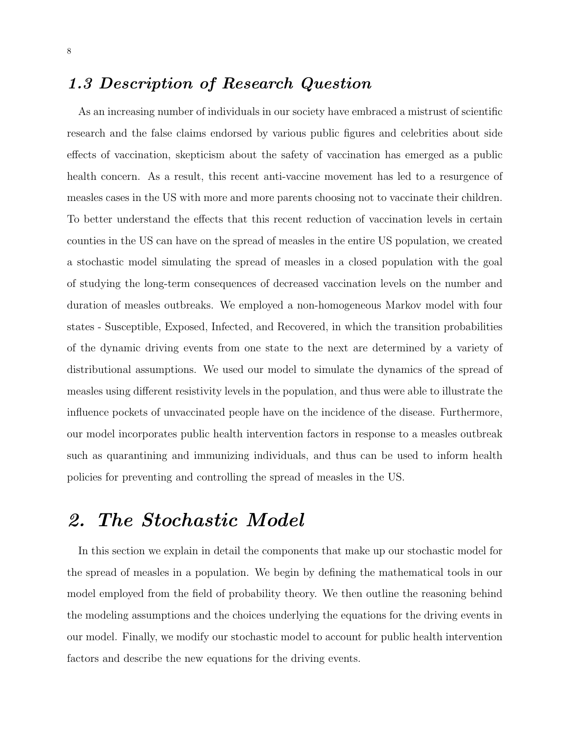## 1.3 Description of Research Question

As an increasing number of individuals in our society have embraced a mistrust of scientific research and the false claims endorsed by various public figures and celebrities about side effects of vaccination, skepticism about the safety of vaccination has emerged as a public health concern. As a result, this recent anti-vaccine movement has led to a resurgence of measles cases in the US with more and more parents choosing not to vaccinate their children. To better understand the effects that this recent reduction of vaccination levels in certain counties in the US can have on the spread of measles in the entire US population, we created a stochastic model simulating the spread of measles in a closed population with the goal of studying the long-term consequences of decreased vaccination levels on the number and duration of measles outbreaks. We employed a non-homogeneous Markov model with four states - Susceptible, Exposed, Infected, and Recovered, in which the transition probabilities of the dynamic driving events from one state to the next are determined by a variety of distributional assumptions. We used our model to simulate the dynamics of the spread of measles using different resistivity levels in the population, and thus were able to illustrate the influence pockets of unvaccinated people have on the incidence of the disease. Furthermore, our model incorporates public health intervention factors in response to a measles outbreak such as quarantining and immunizing individuals, and thus can be used to inform health policies for preventing and controlling the spread of measles in the US.

## 2. The Stochastic Model

In this section we explain in detail the components that make up our stochastic model for the spread of measles in a population. We begin by defining the mathematical tools in our model employed from the field of probability theory. We then outline the reasoning behind the modeling assumptions and the choices underlying the equations for the driving events in our model. Finally, we modify our stochastic model to account for public health intervention factors and describe the new equations for the driving events.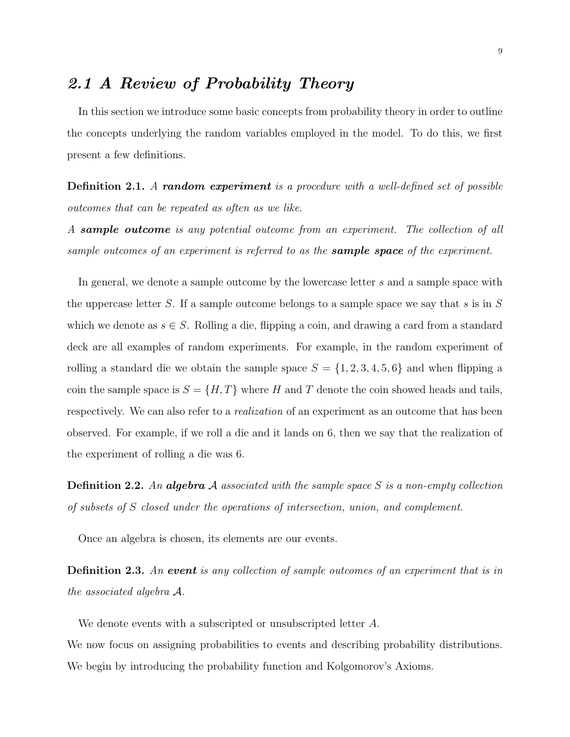## 2.1 A Review of Probability Theory

In this section we introduce some basic concepts from probability theory in order to outline the concepts underlying the random variables employed in the model. To do this, we first present a few definitions.

**Definition 2.1.** A random experiment is a procedure with a well-defined set of possible outcomes that can be repeated as often as we like.

A **sample outcome** is any potential outcome from an experiment. The collection of all sample outcomes of an experiment is referred to as the **sample space** of the experiment.

In general, we denote a sample outcome by the lowercase letter s and a sample space with the uppercase letter S. If a sample outcome belongs to a sample space we say that s is in S which we denote as  $s \in S$ . Rolling a die, flipping a coin, and drawing a card from a standard deck are all examples of random experiments. For example, in the random experiment of rolling a standard die we obtain the sample space  $S = \{1, 2, 3, 4, 5, 6\}$  and when flipping a coin the sample space is  $S = \{H, T\}$  where H and T denote the coin showed heads and tails, respectively. We can also refer to a *realization* of an experiment as an outcome that has been observed. For example, if we roll a die and it lands on 6, then we say that the realization of the experiment of rolling a die was 6.

**Definition 2.2.** An **algebra** A associated with the sample space S is a non-empty collection of subsets of S closed under the operations of intersection, union, and complement.

Once an algebra is chosen, its elements are our events.

Definition 2.3. An event is any collection of sample outcomes of an experiment that is in the associated algebra A.

We denote events with a subscripted or unsubscripted letter A.

We now focus on assigning probabilities to events and describing probability distributions. We begin by introducing the probability function and Kolgomorov's Axioms.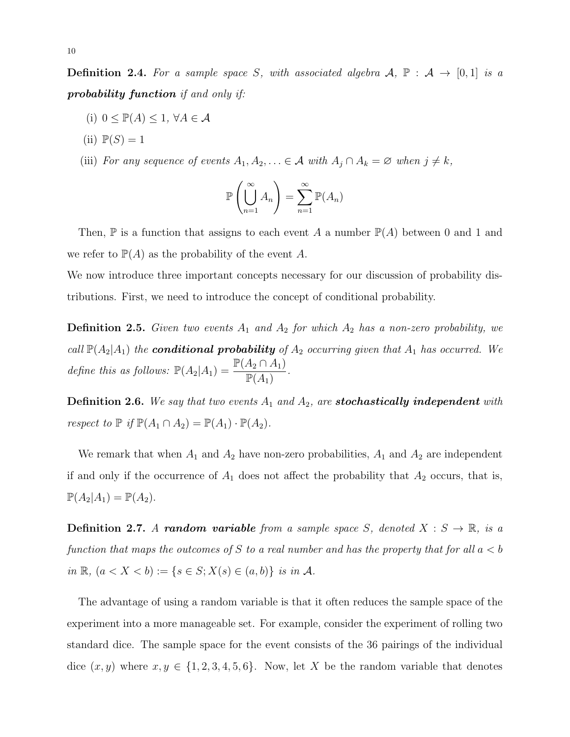**Definition 2.4.** For a sample space S, with associated algebra  $A$ ,  $\mathbb{P}$  :  $A \rightarrow [0,1]$  is a probability function if and only if:

- (i)  $0 \leq \mathbb{P}(A) \leq 1, \forall A \in \mathcal{A}$
- $(ii)$   $\mathbb{P}(S) = 1$
- (iii) For any sequence of events  $A_1, A_2, \ldots \in \mathcal{A}$  with  $A_j \cap A_k = \emptyset$  when  $j \neq k$ ,

$$
\mathbb{P}\left(\bigcup_{n=1}^{\infty} A_n\right) = \sum_{n=1}^{\infty} \mathbb{P}(A_n)
$$

Then,  $\mathbb P$  is a function that assigns to each event A a number  $\mathbb P(A)$  between 0 and 1 and we refer to  $\mathbb{P}(A)$  as the probability of the event A.

We now introduce three important concepts necessary for our discussion of probability distributions. First, we need to introduce the concept of conditional probability.

**Definition 2.5.** Given two events  $A_1$  and  $A_2$  for which  $A_2$  has a non-zero probability, we call  $\mathbb{P}(A_2|A_1)$  the **conditional probability** of  $A_2$  occurring given that  $A_1$  has occurred. We define this as follows:  $\mathbb{P}(A_2|A_1) = \frac{\mathbb{P}(A_2 \cap A_1)}{\mathbb{P}(A_2)}$  $\frac{\mathbb{P}(A_1)}{\mathbb{P}(A_1)}$ .

**Definition 2.6.** We say that two events  $A_1$  and  $A_2$ , are **stochastically independent** with respect to  $\mathbb P$  if  $\mathbb P(A_1 \cap A_2) = \mathbb P(A_1) \cdot \mathbb P(A_2)$ .

We remark that when  $A_1$  and  $A_2$  have non-zero probabilities,  $A_1$  and  $A_2$  are independent if and only if the occurrence of  $A_1$  does not affect the probability that  $A_2$  occurs, that is,  $\mathbb{P}(A_2|A_1) = \mathbb{P}(A_2).$ 

**Definition 2.7.** A random variable from a sample space S, denoted  $X : S \to \mathbb{R}$ , is a function that maps the outcomes of S to a real number and has the property that for all  $a < b$ in  $\mathbb{R}$ ,  $(a < X < b) := \{s \in S; X(s) \in (a, b)\}\$ is in A.

The advantage of using a random variable is that it often reduces the sample space of the experiment into a more manageable set. For example, consider the experiment of rolling two standard dice. The sample space for the event consists of the 36 pairings of the individual dice  $(x, y)$  where  $x, y \in \{1, 2, 3, 4, 5, 6\}$ . Now, let X be the random variable that denotes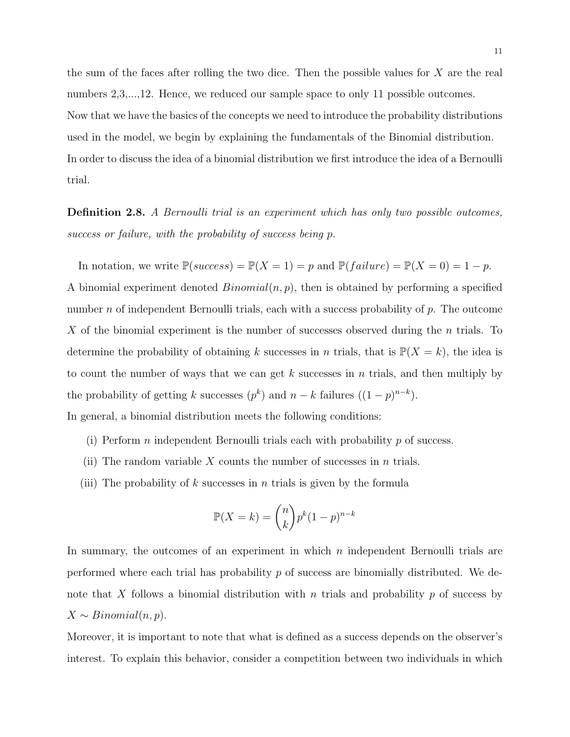the sum of the faces after rolling the two dice. Then the possible values for X are the real numbers 2,3,...,12. Hence, we reduced our sample space to only 11 possible outcomes. Now that we have the basics of the concepts we need to introduce the probability distributions used in the model, we begin by explaining the fundamentals of the Binomial distribution. In order to discuss the idea of a binomial distribution we first introduce the idea of a Bernoulli trial.

Definition 2.8. A Bernoulli trial is an experiment which has only two possible outcomes, success or failure, with the probability of success being p.

In notation, we write  $\mathbb{P}(success) = \mathbb{P}(X = 1) = p$  and  $\mathbb{P}(failure) = \mathbb{P}(X = 0) = 1 - p$ . A binomial experiment denoted  $Binomial(n, p)$ , then is obtained by performing a specified number n of independent Bernoulli trials, each with a success probability of  $p$ . The outcome X of the binomial experiment is the number of successes observed during the n trials. To determine the probability of obtaining k successes in n trials, that is  $\mathbb{P}(X = k)$ , the idea is to count the number of ways that we can get k successes in n trials, and then multiply by the probability of getting k successes  $(p^k)$  and  $n - k$  failures  $((1 - p)^{n-k})$ .

In general, a binomial distribution meets the following conditions:

- (i) Perform n independent Bernoulli trials each with probability  $p$  of success.
- (ii) The random variable X counts the number of successes in n trials.
- (iii) The probability of k successes in n trials is given by the formula

$$
\mathbb{P}(X=k) = \binom{n}{k} p^k (1-p)^{n-k}
$$

In summary, the outcomes of an experiment in which  $n$  independent Bernoulli trials are performed where each trial has probability  $p$  of success are binomially distributed. We denote that X follows a binomial distribution with n trials and probability  $p$  of success by  $X \sim Binomial(n, p).$ 

Moreover, it is important to note that what is defined as a success depends on the observer's interest. To explain this behavior, consider a competition between two individuals in which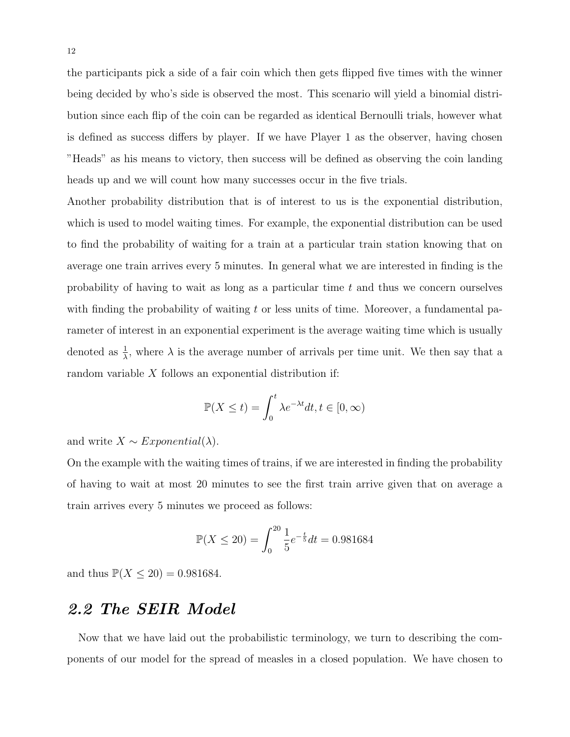the participants pick a side of a fair coin which then gets flipped five times with the winner being decided by who's side is observed the most. This scenario will yield a binomial distribution since each flip of the coin can be regarded as identical Bernoulli trials, however what is defined as success differs by player. If we have Player 1 as the observer, having chosen "Heads" as his means to victory, then success will be defined as observing the coin landing heads up and we will count how many successes occur in the five trials.

Another probability distribution that is of interest to us is the exponential distribution, which is used to model waiting times. For example, the exponential distribution can be used to find the probability of waiting for a train at a particular train station knowing that on average one train arrives every 5 minutes. In general what we are interested in finding is the probability of having to wait as long as a particular time t and thus we concern ourselves with finding the probability of waiting t or less units of time. Moreover, a fundamental parameter of interest in an exponential experiment is the average waiting time which is usually denoted as  $\frac{1}{\lambda}$ , where  $\lambda$  is the average number of arrivals per time unit. We then say that a random variable X follows an exponential distribution if:

$$
\mathbb{P}(X \le t) = \int_0^t \lambda e^{-\lambda t} dt, t \in [0, \infty)
$$

and write  $X \sim Exponential(\lambda)$ .

On the example with the waiting times of trains, if we are interested in finding the probability of having to wait at most 20 minutes to see the first train arrive given that on average a train arrives every 5 minutes we proceed as follows:

$$
\mathbb{P}(X \le 20) = \int_0^{20} \frac{1}{5} e^{-\frac{t}{5}} dt = 0.981684
$$

and thus  $\mathbb{P}(X \leq 20) = 0.981684$ .

### 2.2 The SEIR Model

Now that we have laid out the probabilistic terminology, we turn to describing the components of our model for the spread of measles in a closed population. We have chosen to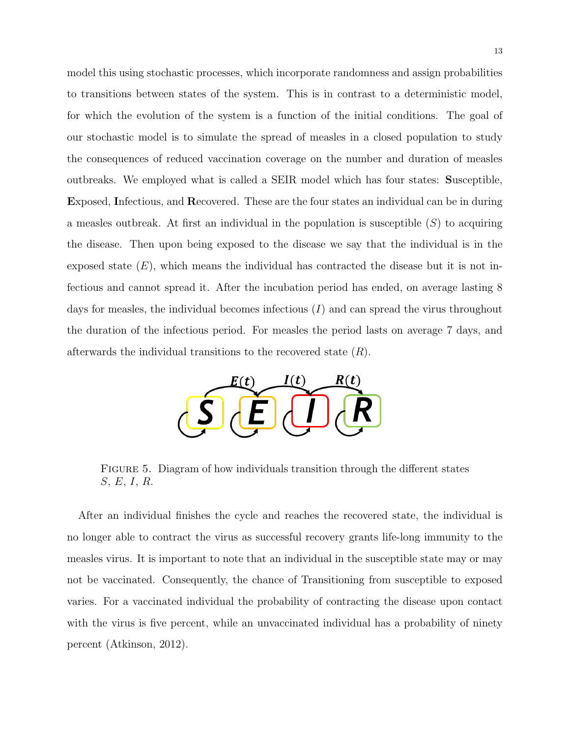model this using stochastic processes, which incorporate randomness and assign probabilities to transitions between states of the system. This is in contrast to a deterministic model, for which the evolution of the system is a function of the initial conditions. The goal of our stochastic model is to simulate the spread of measles in a closed population to study the consequences of reduced vaccination coverage on the number and duration of measles outbreaks. We employed what is called a SEIR model which has four states: Susceptible, Exposed, Infectious, and Recovered. These are the four states an individual can be in during a measles outbreak. At first an individual in the population is susceptible  $(S)$  to acquiring the disease. Then upon being exposed to the disease we say that the individual is in the exposed state  $(E)$ , which means the individual has contracted the disease but it is not infectious and cannot spread it. After the incubation period has ended, on average lasting 8 days for measles, the individual becomes infectious  $(I)$  and can spread the virus throughout the duration of the infectious period. For measles the period lasts on average 7 days, and afterwards the individual transitions to the recovered state  $(R)$ .



FIGURE 5. Diagram of how individuals transition through the different states S, E, I, R.

After an individual finishes the cycle and reaches the recovered state, the individual is no longer able to contract the virus as successful recovery grants life-long immunity to the measles virus. It is important to note that an individual in the susceptible state may or may not be vaccinated. Consequently, the chance of Transitioning from susceptible to exposed varies. For a vaccinated individual the probability of contracting the disease upon contact with the virus is five percent, while an unvaccinated individual has a probability of ninety percent (Atkinson, 2012).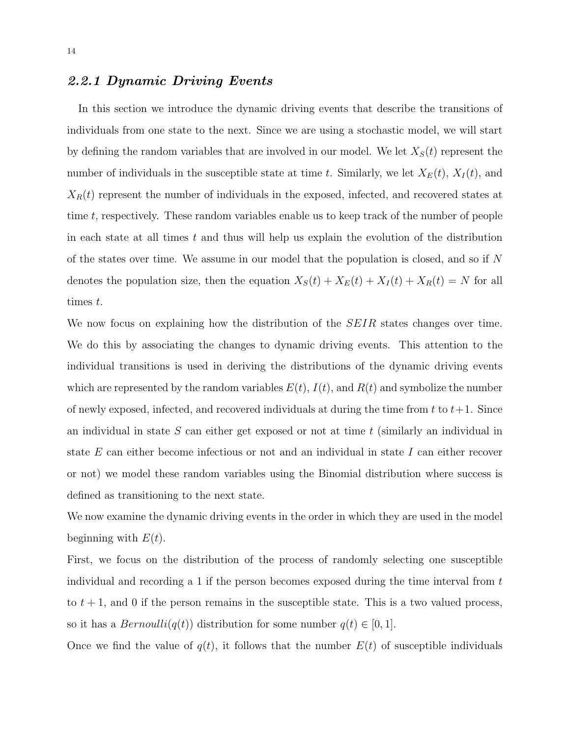#### 2.2.1 Dynamic Driving Events

In this section we introduce the dynamic driving events that describe the transitions of individuals from one state to the next. Since we are using a stochastic model, we will start by defining the random variables that are involved in our model. We let  $X<sub>S</sub>(t)$  represent the number of individuals in the susceptible state at time t. Similarly, we let  $X_E(t)$ ,  $X_I(t)$ , and  $X_R(t)$  represent the number of individuals in the exposed, infected, and recovered states at time t, respectively. These random variables enable us to keep track of the number of people in each state at all times  $t$  and thus will help us explain the evolution of the distribution of the states over time. We assume in our model that the population is closed, and so if N denotes the population size, then the equation  $X_S(t) + X_E(t) + X_I(t) + X_R(t) = N$  for all times t.

We now focus on explaining how the distribution of the *SEIR* states changes over time. We do this by associating the changes to dynamic driving events. This attention to the individual transitions is used in deriving the distributions of the dynamic driving events which are represented by the random variables  $E(t)$ ,  $I(t)$ , and  $R(t)$  and symbolize the number of newly exposed, infected, and recovered individuals at during the time from t to  $t+1$ . Since an individual in state  $S$  can either get exposed or not at time  $t$  (similarly an individual in state  $E$  can either become infectious or not and an individual in state  $I$  can either recover or not) we model these random variables using the Binomial distribution where success is defined as transitioning to the next state.

We now examine the dynamic driving events in the order in which they are used in the model beginning with  $E(t)$ .

First, we focus on the distribution of the process of randomly selecting one susceptible individual and recording a 1 if the person becomes exposed during the time interval from t to  $t + 1$ , and 0 if the person remains in the susceptible state. This is a two valued process, so it has a  $Bernoulli(q(t))$  distribution for some number  $q(t) \in [0, 1]$ .

Once we find the value of  $q(t)$ , it follows that the number  $E(t)$  of susceptible individuals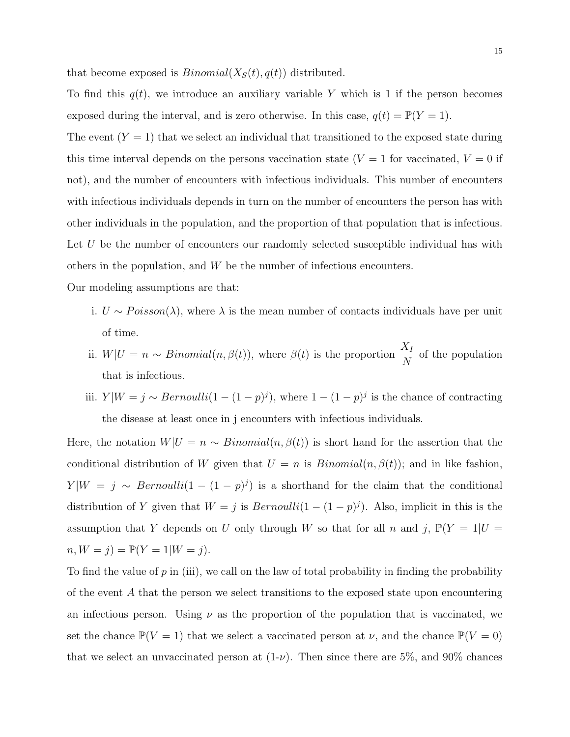that become exposed is  $Binomial(X<sub>S</sub>(t), q(t))$  distributed.

To find this  $q(t)$ , we introduce an auxiliary variable Y which is 1 if the person becomes exposed during the interval, and is zero otherwise. In this case,  $q(t) = \mathbb{P}(Y = 1)$ .

The event  $(Y = 1)$  that we select an individual that transitioned to the exposed state during this time interval depends on the persons vaccination state ( $V = 1$  for vaccinated,  $V = 0$  if not), and the number of encounters with infectious individuals. This number of encounters with infectious individuals depends in turn on the number of encounters the person has with other individuals in the population, and the proportion of that population that is infectious. Let U be the number of encounters our randomly selected susceptible individual has with others in the population, and W be the number of infectious encounters.

Our modeling assumptions are that:

- i.  $U \sim Poisson(\lambda)$ , where  $\lambda$  is the mean number of contacts individuals have per unit of time.
- ii.  $W|U = n \sim Binomial(n, \beta(t))$ , where  $\beta(t)$  is the proportion  $\frac{X_I}{X_I}$ N of the population that is infectious.
- iii.  $Y|W = j \sim Bernoulli(1 (1 p)^j)$ , where  $1 (1 p)^j$  is the chance of contracting the disease at least once in j encounters with infectious individuals.

Here, the notation  $W|U = n \sim Binomial(n, \beta(t))$  is short hand for the assertion that the conditional distribution of W given that  $U = n$  is  $Binomial(n, \beta(t))$ ; and in like fashion,  $Y|W = j \sim Bernoulli(1 - (1 - p)^j)$  is a shorthand for the claim that the conditional distribution of Y given that  $W = j$  is  $Bernoulli(1 - (1 - p)^j)$ . Also, implicit in this is the assumption that Y depends on U only through W so that for all n and j,  $\mathbb{P}(Y = 1 | U =$  $n, W = j$ ) =  $\mathbb{P}(Y = 1 | W = j)$ .

To find the value of  $p$  in (iii), we call on the law of total probability in finding the probability of the event A that the person we select transitions to the exposed state upon encountering an infectious person. Using  $\nu$  as the proportion of the population that is vaccinated, we set the chance  $\mathbb{P}(V = 1)$  that we select a vaccinated person at  $\nu$ , and the chance  $\mathbb{P}(V = 0)$ that we select an unvaccinated person at  $(1-\nu)$ . Then since there are 5%, and 90% chances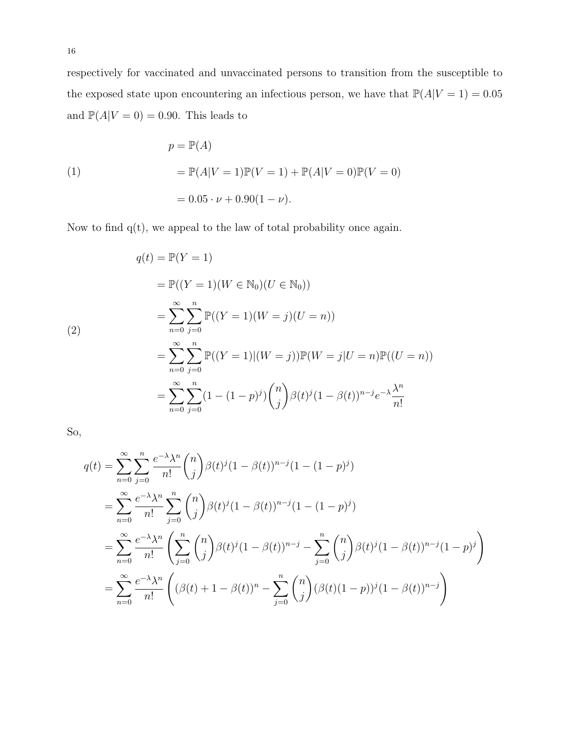respectively for vaccinated and unvaccinated persons to transition from the susceptible to the exposed state upon encountering an infectious person, we have that  $\mathbb{P}(A|V=1) = 0.05$ and  $\mathbb{P}(A|V=0) = 0.90$ . This leads to

(1)  
\n
$$
p = \mathbb{P}(A)
$$
\n
$$
= \mathbb{P}(A|V=1)\mathbb{P}(V=1) + \mathbb{P}(A|V=0)\mathbb{P}(V=0)
$$
\n
$$
= 0.05 \cdot \nu + 0.90(1-\nu).
$$

Now to find q(t), we appeal to the law of total probability once again.

$$
q(t) = \mathbb{P}(Y = 1)
$$
  
=  $\mathbb{P}((Y = 1)(W \in \mathbb{N}_0)(U \in \mathbb{N}_0))$   
=  $\sum_{n=0}^{\infty} \sum_{j=0}^{n} \mathbb{P}((Y = 1)(W = j)(U = n))$   
=  $\sum_{n=0}^{\infty} \sum_{j=0}^{n} \mathbb{P}((Y = 1)|(W = j))\mathbb{P}(W = j|U = n)\mathbb{P}((U = n))$   
=  $\sum_{n=0}^{\infty} \sum_{j=0}^{n} (1 - (1 - p)^j) {n \choose j} \beta(t)^j (1 - \beta(t))^{n-j} e^{-\lambda} \frac{\lambda^n}{n!}$ 

So,

$$
q(t) = \sum_{n=0}^{\infty} \sum_{j=0}^{n} \frac{e^{-\lambda} \lambda^{n}}{n!} {n \choose j} \beta(t)^{j} (1 - \beta(t))^{n-j} (1 - (1 - p)^{j})
$$
  
\n
$$
= \sum_{n=0}^{\infty} \frac{e^{-\lambda} \lambda^{n}}{n!} \sum_{j=0}^{n} {n \choose j} \beta(t)^{j} (1 - \beta(t))^{n-j} (1 - (1 - p)^{j})
$$
  
\n
$$
= \sum_{n=0}^{\infty} \frac{e^{-\lambda} \lambda^{n}}{n!} \left( \sum_{j=0}^{n} {n \choose j} \beta(t)^{j} (1 - \beta(t))^{n-j} - \sum_{j=0}^{n} {n \choose j} \beta(t)^{j} (1 - \beta(t))^{n-j} (1 - p)^{j} \right)
$$
  
\n
$$
= \sum_{n=0}^{\infty} \frac{e^{-\lambda} \lambda^{n}}{n!} \left( (\beta(t) + 1 - \beta(t))^{n} - \sum_{j=0}^{n} {n \choose j} (\beta(t)(1 - p))^{j} (1 - \beta(t))^{n-j} \right)
$$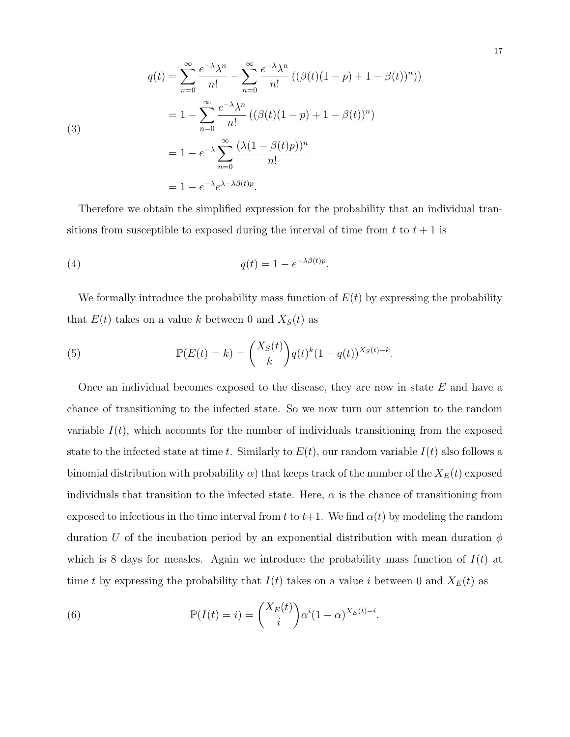(3)  
\n
$$
q(t) = \sum_{n=0}^{\infty} \frac{e^{-\lambda} \lambda^n}{n!} - \sum_{n=0}^{\infty} \frac{e^{-\lambda} \lambda^n}{n!} ((\beta(t)(1-p) + 1 - \beta(t))^n))
$$
\n
$$
= 1 - \sum_{n=0}^{\infty} \frac{e^{-\lambda} \lambda^n}{n!} ((\beta(t)(1-p) + 1 - \beta(t))^n)
$$
\n
$$
= 1 - e^{-\lambda} \sum_{n=0}^{\infty} \frac{(\lambda(1 - \beta(t)p))^n}{n!}
$$
\n
$$
= 1 - e^{-\lambda} e^{\lambda - \lambda \beta(t)p}.
$$

Therefore we obtain the simplified expression for the probability that an individual transitions from susceptible to exposed during the interval of time from  $t$  to  $t + 1$  is

(4) 
$$
q(t) = 1 - e^{-\lambda \beta(t)p}.
$$

We formally introduce the probability mass function of  $E(t)$  by expressing the probability that  $E(t)$  takes on a value k between 0 and  $X<sub>S</sub>(t)$  as

(5) 
$$
\mathbb{P}(E(t) = k) = {X_S(t) \choose k} q(t)^k (1 - q(t))^{X_S(t) - k}.
$$

Once an individual becomes exposed to the disease, they are now in state  $E$  and have a chance of transitioning to the infected state. So we now turn our attention to the random variable  $I(t)$ , which accounts for the number of individuals transitioning from the exposed state to the infected state at time t. Similarly to  $E(t)$ , our random variable  $I(t)$  also follows a binomial distribution with probability  $\alpha$ ) that keeps track of the number of the  $X_E(t)$  exposed individuals that transition to the infected state. Here,  $\alpha$  is the chance of transitioning from exposed to infectious in the time interval from t to  $t+1$ . We find  $\alpha(t)$  by modeling the random duration U of the incubation period by an exponential distribution with mean duration  $\phi$ which is 8 days for measles. Again we introduce the probability mass function of  $I(t)$  at time t by expressing the probability that  $I(t)$  takes on a value i between 0 and  $X_E(t)$  as

(6) 
$$
\mathbb{P}(I(t) = i) = {X_E(t) \choose i} \alpha^{i} (1 - \alpha)^{X_E(t) - i}.
$$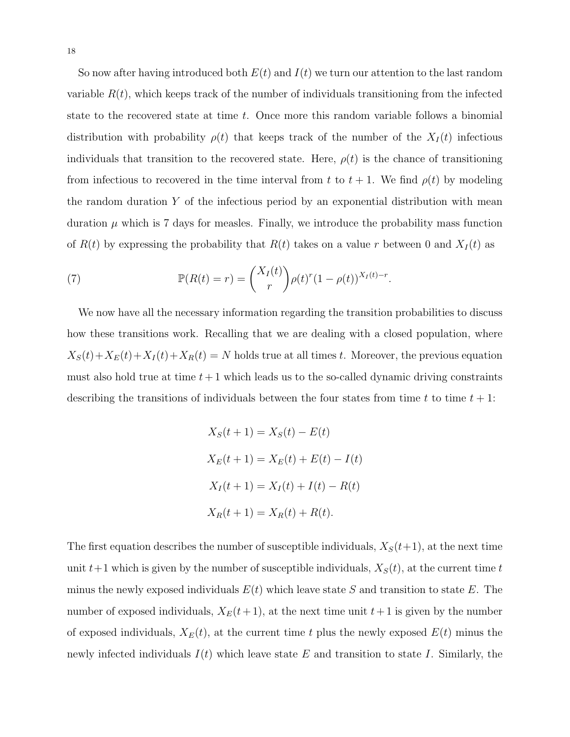So now after having introduced both  $E(t)$  and  $I(t)$  we turn our attention to the last random variable  $R(t)$ , which keeps track of the number of individuals transitioning from the infected state to the recovered state at time t. Once more this random variable follows a binomial distribution with probability  $\rho(t)$  that keeps track of the number of the  $X_I(t)$  infectious individuals that transition to the recovered state. Here,  $\rho(t)$  is the chance of transitioning from infectious to recovered in the time interval from t to  $t + 1$ . We find  $\rho(t)$  by modeling the random duration  $Y$  of the infectious period by an exponential distribution with mean duration  $\mu$  which is 7 days for measles. Finally, we introduce the probability mass function of  $R(t)$  by expressing the probability that  $R(t)$  takes on a value r between 0 and  $X_I(t)$  as

(7) 
$$
\mathbb{P}(R(t)=r)=\binom{X_I(t)}{r}\rho(t)^r(1-\rho(t))^{X_I(t)-r}.
$$

We now have all the necessary information regarding the transition probabilities to discuss how these transitions work. Recalling that we are dealing with a closed population, where  $X_S(t)+X_E(t)+X_I(t)+X_R(t) = N$  holds true at all times t. Moreover, the previous equation must also hold true at time  $t + 1$  which leads us to the so-called dynamic driving constraints describing the transitions of individuals between the four states from time t to time  $t + 1$ :

$$
X_S(t+1) = X_S(t) - E(t)
$$
  
\n
$$
X_E(t+1) = X_E(t) + E(t) - I(t)
$$
  
\n
$$
X_I(t+1) = X_I(t) + I(t) - R(t)
$$
  
\n
$$
X_R(t+1) = X_R(t) + R(t).
$$

The first equation describes the number of susceptible individuals,  $X_S(t+1)$ , at the next time unit  $t+1$  which is given by the number of susceptible individuals,  $X<sub>S</sub>(t)$ , at the current time t minus the newly exposed individuals  $E(t)$  which leave state S and transition to state E. The number of exposed individuals,  $X_E(t+1)$ , at the next time unit  $t+1$  is given by the number of exposed individuals,  $X_E(t)$ , at the current time t plus the newly exposed  $E(t)$  minus the newly infected individuals  $I(t)$  which leave state E and transition to state I. Similarly, the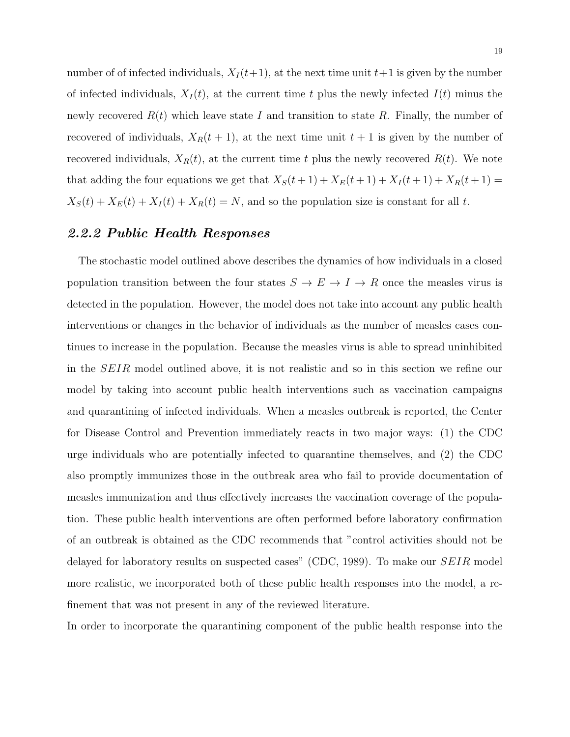number of of infected individuals,  $X_I(t+1)$ , at the next time unit  $t+1$  is given by the number of infected individuals,  $X_I(t)$ , at the current time t plus the newly infected  $I(t)$  minus the newly recovered  $R(t)$  which leave state I and transition to state R. Finally, the number of recovered of individuals,  $X_R(t + 1)$ , at the next time unit  $t + 1$  is given by the number of recovered individuals,  $X_R(t)$ , at the current time t plus the newly recovered  $R(t)$ . We note that adding the four equations we get that  $X_S(t+1) + X_E(t+1) + X_I(t+1) + X_R(t+1) =$  $X_S(t) + X_E(t) + X_I(t) + X_R(t) = N$ , and so the population size is constant for all t.

#### 2.2.2 Public Health Responses

The stochastic model outlined above describes the dynamics of how individuals in a closed population transition between the four states  $S \to E \to I \to R$  once the measles virus is detected in the population. However, the model does not take into account any public health interventions or changes in the behavior of individuals as the number of measles cases continues to increase in the population. Because the measles virus is able to spread uninhibited in the SEIR model outlined above, it is not realistic and so in this section we refine our model by taking into account public health interventions such as vaccination campaigns and quarantining of infected individuals. When a measles outbreak is reported, the Center for Disease Control and Prevention immediately reacts in two major ways: (1) the CDC urge individuals who are potentially infected to quarantine themselves, and (2) the CDC also promptly immunizes those in the outbreak area who fail to provide documentation of measles immunization and thus effectively increases the vaccination coverage of the population. These public health interventions are often performed before laboratory confirmation of an outbreak is obtained as the CDC recommends that "control activities should not be delayed for laboratory results on suspected cases" (CDC, 1989). To make our SEIR model more realistic, we incorporated both of these public health responses into the model, a refinement that was not present in any of the reviewed literature.

In order to incorporate the quarantining component of the public health response into the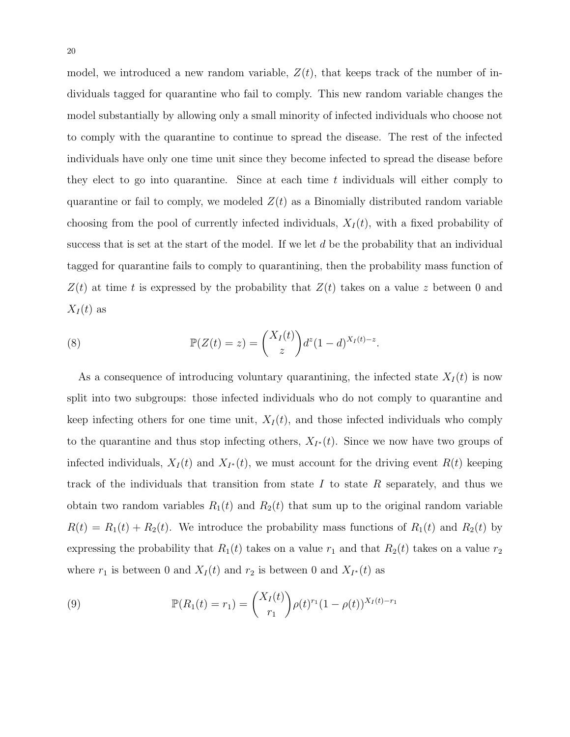model, we introduced a new random variable,  $Z(t)$ , that keeps track of the number of individuals tagged for quarantine who fail to comply. This new random variable changes the model substantially by allowing only a small minority of infected individuals who choose not to comply with the quarantine to continue to spread the disease. The rest of the infected individuals have only one time unit since they become infected to spread the disease before they elect to go into quarantine. Since at each time  $t$  individuals will either comply to quarantine or fail to comply, we modeled  $Z(t)$  as a Binomially distributed random variable choosing from the pool of currently infected individuals,  $X_I(t)$ , with a fixed probability of success that is set at the start of the model. If we let  $d$  be the probability that an individual tagged for quarantine fails to comply to quarantining, then the probability mass function of  $Z(t)$  at time t is expressed by the probability that  $Z(t)$  takes on a value z between 0 and  $X_I(t)$  as

(8) 
$$
\mathbb{P}(Z(t) = z) = \binom{X_I(t)}{z} d^z (1-d)^{X_I(t)-z}.
$$

As a consequence of introducing voluntary quarantining, the infected state  $X_I(t)$  is now split into two subgroups: those infected individuals who do not comply to quarantine and keep infecting others for one time unit,  $X_I(t)$ , and those infected individuals who comply to the quarantine and thus stop infecting others,  $X_{I^*}(t)$ . Since we now have two groups of infected individuals,  $X_I(t)$  and  $X_{I^*}(t)$ , we must account for the driving event  $R(t)$  keeping track of the individuals that transition from state  $I$  to state  $R$  separately, and thus we obtain two random variables  $R_1(t)$  and  $R_2(t)$  that sum up to the original random variable  $R(t) = R_1(t) + R_2(t)$ . We introduce the probability mass functions of  $R_1(t)$  and  $R_2(t)$  by expressing the probability that  $R_1(t)$  takes on a value  $r_1$  and that  $R_2(t)$  takes on a value  $r_2$ where  $r_1$  is between 0 and  $X_I(t)$  and  $r_2$  is between 0 and  $X_{I^*}(t)$  as

(9) 
$$
\mathbb{P}(R_1(t) = r_1) = {X_I(t) \choose r_1} \rho(t)^{r_1} (1 - \rho(t))^{X_I(t) - r_1}
$$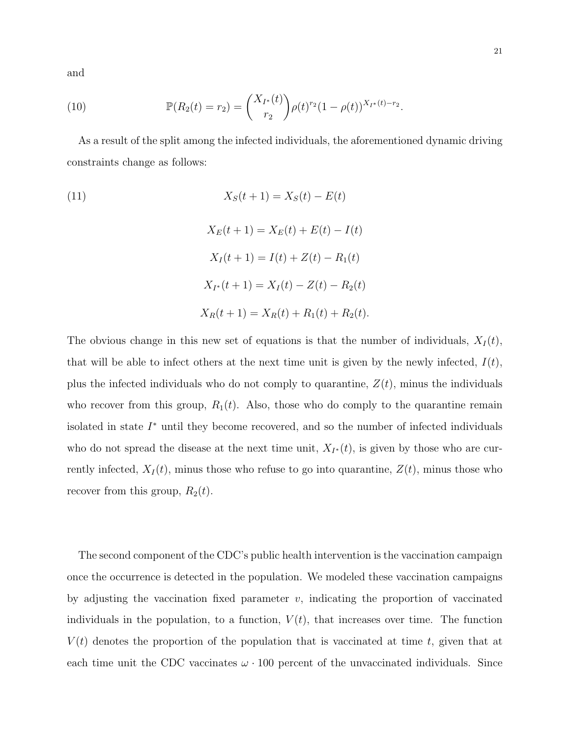and

(10) 
$$
\mathbb{P}(R_2(t) = r_2) = \binom{X_{I^*}(t)}{r_2} \rho(t)^{r_2} (1 - \rho(t))^{X_{I^*}(t) - r_2}.
$$

As a result of the split among the infected individuals, the aforementioned dynamic driving constraints change as follows:

(11)  
\n
$$
X_S(t+1) = X_S(t) - E(t)
$$
\n
$$
X_E(t+1) = X_E(t) + E(t) - I(t)
$$
\n
$$
X_I(t+1) = I(t) + Z(t) - R_1(t)
$$
\n
$$
X_{I^*}(t+1) = X_I(t) - Z(t) - R_2(t)
$$
\n
$$
X_R(t+1) = X_R(t) + R_1(t) + R_2(t).
$$

The obvious change in this new set of equations is that the number of individuals,  $X_I(t)$ , that will be able to infect others at the next time unit is given by the newly infected,  $I(t)$ , plus the infected individuals who do not comply to quarantine,  $Z(t)$ , minus the individuals who recover from this group,  $R_1(t)$ . Also, those who do comply to the quarantine remain isolated in state  $I^*$  until they become recovered, and so the number of infected individuals who do not spread the disease at the next time unit,  $X_{I^*}(t)$ , is given by those who are currently infected,  $X_I(t)$ , minus those who refuse to go into quarantine,  $Z(t)$ , minus those who recover from this group,  $R_2(t)$ .

The second component of the CDC's public health intervention is the vaccination campaign once the occurrence is detected in the population. We modeled these vaccination campaigns by adjusting the vaccination fixed parameter  $v$ , indicating the proportion of vaccinated individuals in the population, to a function,  $V(t)$ , that increases over time. The function  $V(t)$  denotes the proportion of the population that is vaccinated at time t, given that at each time unit the CDC vaccinates  $\omega \cdot 100$  percent of the unvaccinated individuals. Since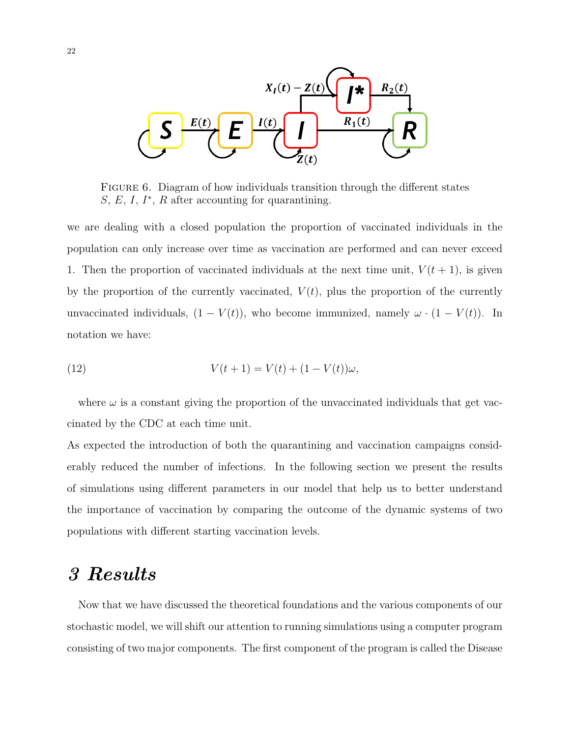

Figure 6. Diagram of how individuals transition through the different states  $S, E, I, I^*, R$  after accounting for quarantining.

we are dealing with a closed population the proportion of vaccinated individuals in the population can only increase over time as vaccination are performed and can never exceed 1. Then the proportion of vaccinated individuals at the next time unit,  $V(t + 1)$ , is given by the proportion of the currently vaccinated,  $V(t)$ , plus the proportion of the currently unvaccinated individuals,  $(1 - V(t))$ , who become immunized, namely  $\omega \cdot (1 - V(t))$ . In notation we have:

(12) 
$$
V(t+1) = V(t) + (1 - V(t))\omega,
$$

where  $\omega$  is a constant giving the proportion of the unvaccinated individuals that get vaccinated by the CDC at each time unit.

As expected the introduction of both the quarantining and vaccination campaigns considerably reduced the number of infections. In the following section we present the results of simulations using different parameters in our model that help us to better understand the importance of vaccination by comparing the outcome of the dynamic systems of two populations with different starting vaccination levels.

## 3 Results

Now that we have discussed the theoretical foundations and the various components of our stochastic model, we will shift our attention to running simulations using a computer program consisting of two major components. The first component of the program is called the Disease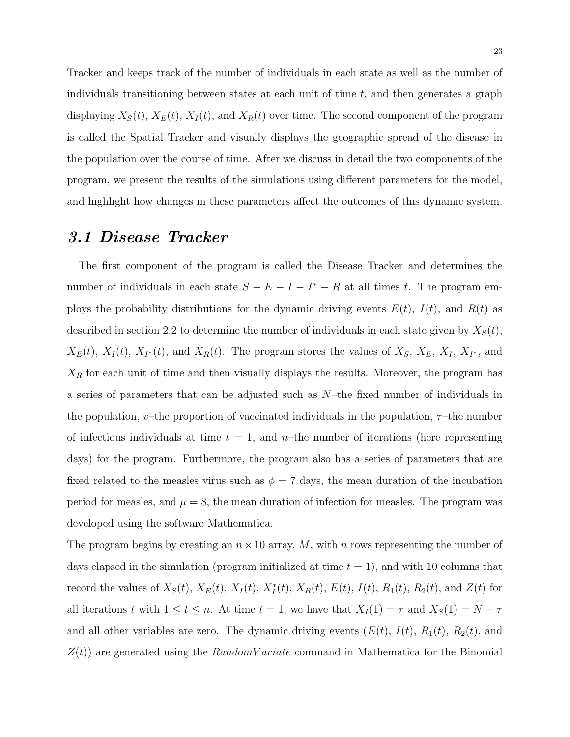Tracker and keeps track of the number of individuals in each state as well as the number of individuals transitioning between states at each unit of time  $t$ , and then generates a graph displaying  $X_S(t)$ ,  $X_E(t)$ ,  $X_I(t)$ , and  $X_R(t)$  over time. The second component of the program is called the Spatial Tracker and visually displays the geographic spread of the disease in the population over the course of time. After we discuss in detail the two components of the program, we present the results of the simulations using different parameters for the model, and highlight how changes in these parameters affect the outcomes of this dynamic system.

#### 3.1 Disease Tracker

The first component of the program is called the Disease Tracker and determines the number of individuals in each state  $S - E - I - I^* - R$  at all times t. The program employs the probability distributions for the dynamic driving events  $E(t)$ ,  $I(t)$ , and  $R(t)$  as described in section 2.2 to determine the number of individuals in each state given by  $X_S(t)$ ,  $X_E(t)$ ,  $X_I(t)$ ,  $X_{I^*}(t)$ , and  $X_R(t)$ . The program stores the values of  $X_S$ ,  $X_E$ ,  $X_I$ ,  $X_{I^*}$ , and  $X_R$  for each unit of time and then visually displays the results. Moreover, the program has a series of parameters that can be adjusted such as N–the fixed number of individuals in the population, v–the proportion of vaccinated individuals in the population,  $\tau$ –the number of infectious individuals at time  $t = 1$ , and n-the number of iterations (here representing days) for the program. Furthermore, the program also has a series of parameters that are fixed related to the measles virus such as  $\phi = 7$  days, the mean duration of the incubation period for measles, and  $\mu = 8$ , the mean duration of infection for measles. The program was developed using the software Mathematica.

The program begins by creating an  $n \times 10$  array, M, with n rows representing the number of days elapsed in the simulation (program initialized at time  $t = 1$ ), and with 10 columns that record the values of  $X_S(t)$ ,  $X_E(t)$ ,  $X_I(t)$ ,  $X_I^*(t)$ ,  $X_R(t)$ ,  $E(t)$ ,  $I(t)$ ,  $R_1(t)$ ,  $R_2(t)$ , and  $Z(t)$  for all iterations t with  $1 \le t \le n$ . At time  $t = 1$ , we have that  $X_I(1) = \tau$  and  $X_S(1) = N - \tau$ and all other variables are zero. The dynamic driving events  $(E(t), I(t), R_1(t), R_2(t),$  and  $Z(t)$  are generated using the RandomV ariate command in Mathematica for the Binomial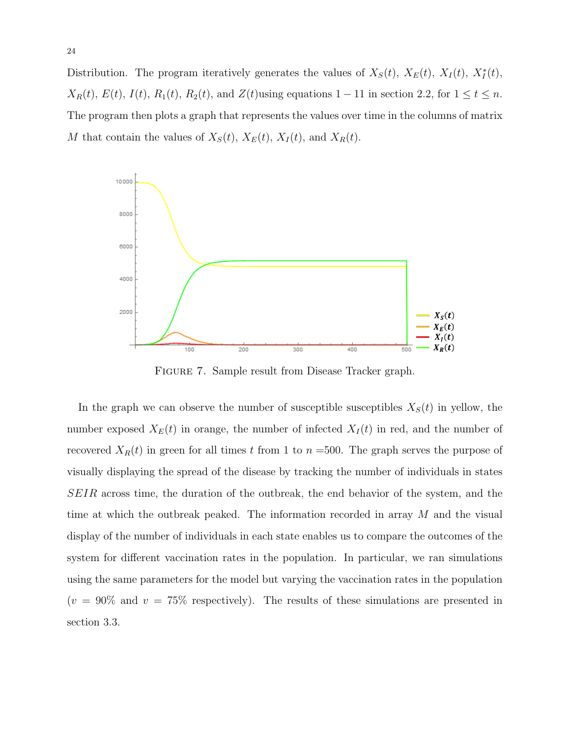Distribution. The program iteratively generates the values of  $X_S(t)$ ,  $X_E(t)$ ,  $X_I(t)$ ,  $X_I^*(t)$ ,  $X_R(t)$ ,  $E(t)$ ,  $I(t)$ ,  $R_1(t)$ ,  $R_2(t)$ , and  $Z(t)$ using equations 1 – 11 in section 2.2, for  $1 \le t \le n$ . The program then plots a graph that represents the values over time in the columns of matrix M that contain the values of  $X_S(t)$ ,  $X_E(t)$ ,  $X_I(t)$ , and  $X_R(t)$ .



FIGURE 7. Sample result from Disease Tracker graph.

In the graph we can observe the number of susceptible susceptibles  $X<sub>S</sub>(t)$  in yellow, the number exposed  $X_E(t)$  in orange, the number of infected  $X_I(t)$  in red, and the number of recovered  $X_R(t)$  in green for all times t from 1 to  $n = 500$ . The graph serves the purpose of visually displaying the spread of the disease by tracking the number of individuals in states SEIR across time, the duration of the outbreak, the end behavior of the system, and the time at which the outbreak peaked. The information recorded in array M and the visual display of the number of individuals in each state enables us to compare the outcomes of the system for different vaccination rates in the population. In particular, we ran simulations using the same parameters for the model but varying the vaccination rates in the population  $(v = 90\%$  and  $v = 75\%$  respectively). The results of these simulations are presented in section 3.3.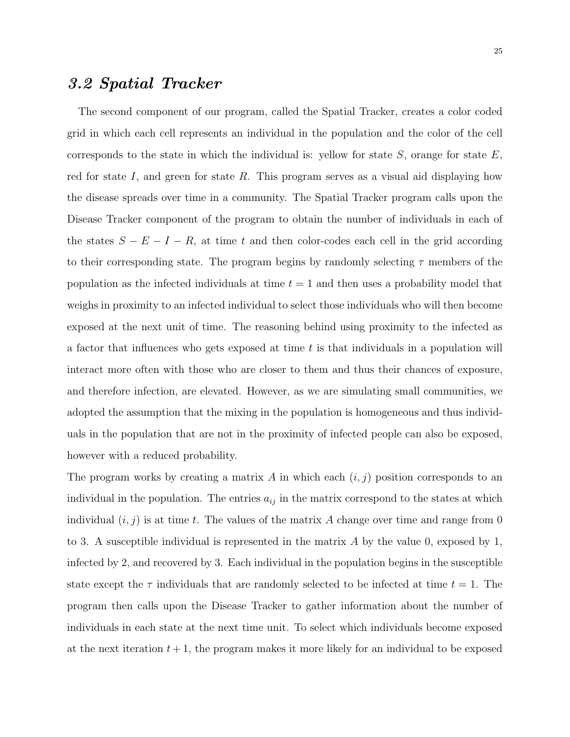### 3.2 Spatial Tracker

The second component of our program, called the Spatial Tracker, creates a color coded grid in which each cell represents an individual in the population and the color of the cell corresponds to the state in which the individual is: yellow for state  $S$ , orange for state  $E$ , red for state I, and green for state R. This program serves as a visual aid displaying how the disease spreads over time in a community. The Spatial Tracker program calls upon the Disease Tracker component of the program to obtain the number of individuals in each of the states  $S - E - I - R$ , at time t and then color-codes each cell in the grid according to their corresponding state. The program begins by randomly selecting  $\tau$  members of the population as the infected individuals at time  $t = 1$  and then uses a probability model that weighs in proximity to an infected individual to select those individuals who will then become exposed at the next unit of time. The reasoning behind using proximity to the infected as a factor that influences who gets exposed at time  $t$  is that individuals in a population will interact more often with those who are closer to them and thus their chances of exposure, and therefore infection, are elevated. However, as we are simulating small communities, we adopted the assumption that the mixing in the population is homogeneous and thus individuals in the population that are not in the proximity of infected people can also be exposed, however with a reduced probability.

The program works by creating a matrix A in which each  $(i, j)$  position corresponds to an individual in the population. The entries  $a_{ij}$  in the matrix correspond to the states at which individual  $(i, j)$  is at time t. The values of the matrix A change over time and range from 0 to 3. A susceptible individual is represented in the matrix  $A$  by the value 0, exposed by 1, infected by 2, and recovered by 3. Each individual in the population begins in the susceptible state except the  $\tau$  individuals that are randomly selected to be infected at time  $t = 1$ . The program then calls upon the Disease Tracker to gather information about the number of individuals in each state at the next time unit. To select which individuals become exposed at the next iteration  $t + 1$ , the program makes it more likely for an individual to be exposed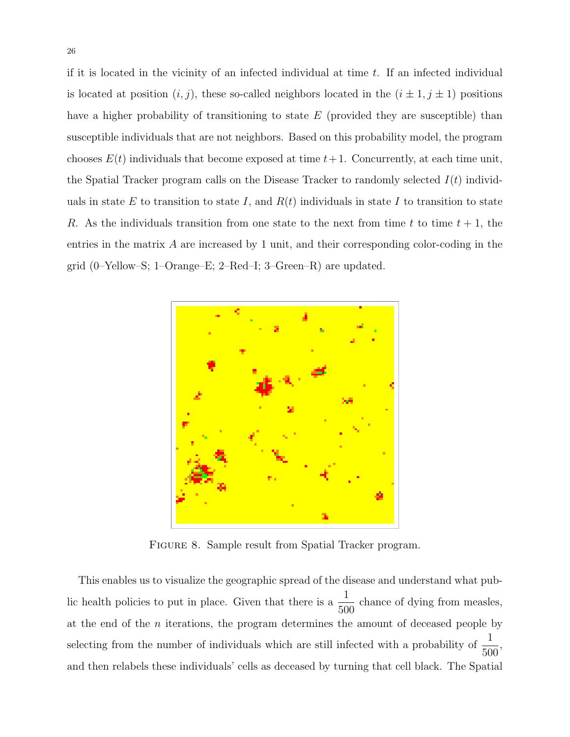if it is located in the vicinity of an infected individual at time  $t$ . If an infected individual is located at position  $(i, j)$ , these so-called neighbors located in the  $(i \pm 1, j \pm 1)$  positions have a higher probability of transitioning to state  $E$  (provided they are susceptible) than susceptible individuals that are not neighbors. Based on this probability model, the program chooses  $E(t)$  individuals that become exposed at time  $t+1$ . Concurrently, at each time unit, the Spatial Tracker program calls on the Disease Tracker to randomly selected  $I(t)$  individuals in state E to transition to state I, and  $R(t)$  individuals in state I to transition to state R. As the individuals transition from one state to the next from time t to time  $t + 1$ , the entries in the matrix A are increased by 1 unit, and their corresponding color-coding in the grid (0–Yellow–S; 1–Orange–E; 2–Red–I; 3–Green–R) are updated.



FIGURE 8. Sample result from Spatial Tracker program.

This enables us to visualize the geographic spread of the disease and understand what public health policies to put in place. Given that there is a  $\frac{1}{50}$ 500 chance of dying from measles, at the end of the  $n$  iterations, the program determines the amount of deceased people by selecting from the number of individuals which are still infected with a probability of  $\frac{1}{50}$ 500 , and then relabels these individuals' cells as deceased by turning that cell black. The Spatial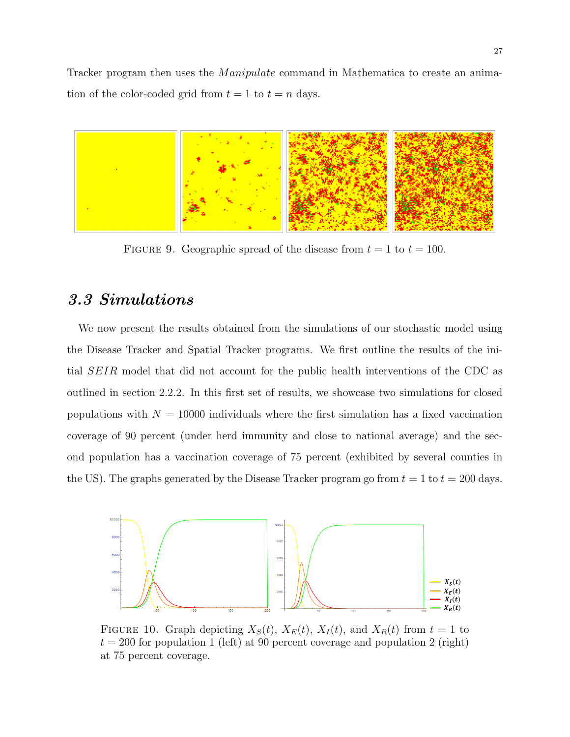Tracker program then uses the *Manipulate* command in Mathematica to create an animation of the color-coded grid from  $t = 1$  to  $t = n$  days.



FIGURE 9. Geographic spread of the disease from  $t = 1$  to  $t = 100$ .

## 3.3 Simulations

We now present the results obtained from the simulations of our stochastic model using the Disease Tracker and Spatial Tracker programs. We first outline the results of the initial SEIR model that did not account for the public health interventions of the CDC as outlined in section 2.2.2. In this first set of results, we showcase two simulations for closed populations with  $N = 10000$  individuals where the first simulation has a fixed vaccination coverage of 90 percent (under herd immunity and close to national average) and the second population has a vaccination coverage of 75 percent (exhibited by several counties in the US). The graphs generated by the Disease Tracker program go from  $t = 1$  to  $t = 200$  days.



FIGURE 10. Graph depicting  $X_S(t)$ ,  $X_E(t)$ ,  $X_I(t)$ , and  $X_R(t)$  from  $t = 1$  to  $t = 200$  for population 1 (left) at 90 percent coverage and population 2 (right) at 75 percent coverage.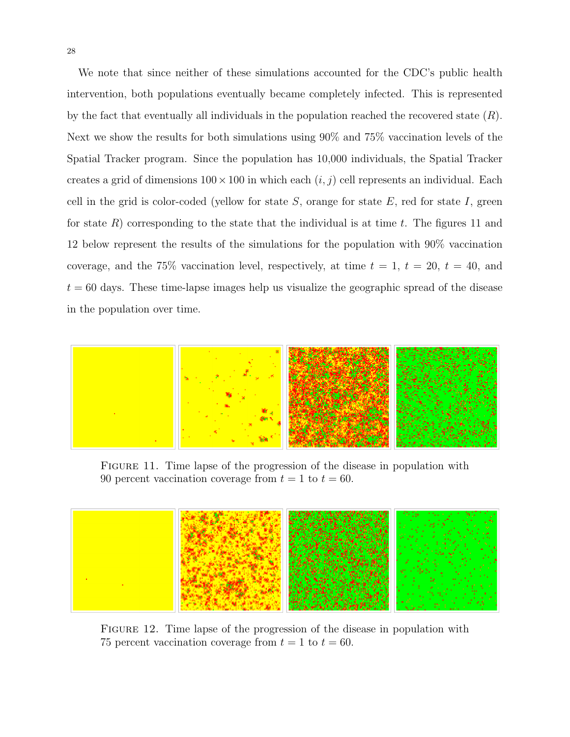We note that since neither of these simulations accounted for the CDC's public health intervention, both populations eventually became completely infected. This is represented by the fact that eventually all individuals in the population reached the recovered state  $(R)$ . Next we show the results for both simulations using 90% and 75% vaccination levels of the Spatial Tracker program. Since the population has 10,000 individuals, the Spatial Tracker creates a grid of dimensions  $100 \times 100$  in which each  $(i, j)$  cell represents an individual. Each cell in the grid is color-coded (yellow for state  $S$ , orange for state  $E$ , red for state  $I$ , green for state R) corresponding to the state that the individual is at time t. The figures 11 and 12 below represent the results of the simulations for the population with 90% vaccination coverage, and the 75% vaccination level, respectively, at time  $t = 1, t = 20, t = 40$ , and  $t = 60$  days. These time-lapse images help us visualize the geographic spread of the disease in the population over time.



Figure 11. Time lapse of the progression of the disease in population with 90 percent vaccination coverage from  $t = 1$  to  $t = 60$ .



FIGURE 12. Time lapse of the progression of the disease in population with 75 percent vaccination coverage from  $t = 1$  to  $t = 60$ .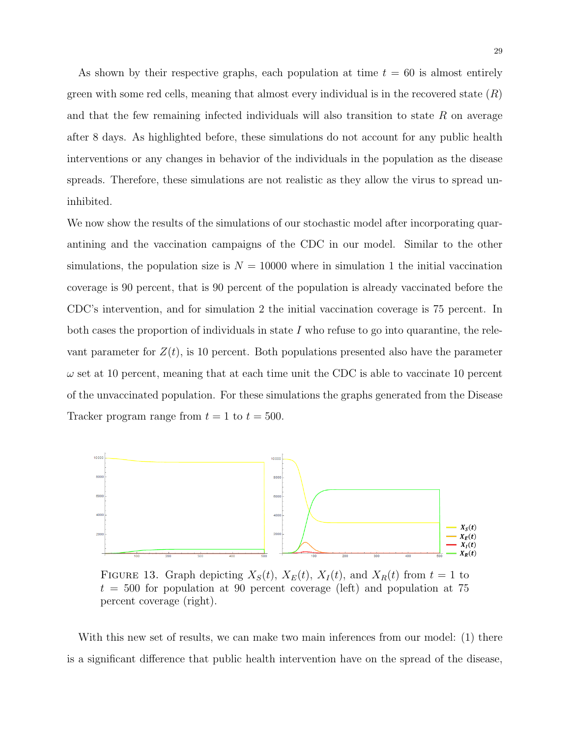As shown by their respective graphs, each population at time  $t = 60$  is almost entirely green with some red cells, meaning that almost every individual is in the recovered state  $(R)$ and that the few remaining infected individuals will also transition to state  $R$  on average after 8 days. As highlighted before, these simulations do not account for any public health interventions or any changes in behavior of the individuals in the population as the disease spreads. Therefore, these simulations are not realistic as they allow the virus to spread uninhibited.

We now show the results of the simulations of our stochastic model after incorporating quarantining and the vaccination campaigns of the CDC in our model. Similar to the other simulations, the population size is  $N = 10000$  where in simulation 1 the initial vaccination coverage is 90 percent, that is 90 percent of the population is already vaccinated before the CDC's intervention, and for simulation 2 the initial vaccination coverage is 75 percent. In both cases the proportion of individuals in state  $I$  who refuse to go into quarantine, the relevant parameter for  $Z(t)$ , is 10 percent. Both populations presented also have the parameter  $\omega$  set at 10 percent, meaning that at each time unit the CDC is able to vaccinate 10 percent of the unvaccinated population. For these simulations the graphs generated from the Disease Tracker program range from  $t = 1$  to  $t = 500$ .



FIGURE 13. Graph depicting  $X_S(t)$ ,  $X_E(t)$ ,  $X_I(t)$ , and  $X_R(t)$  from  $t = 1$  to  $t = 500$  for population at 90 percent coverage (left) and population at 75 percent coverage (right).

With this new set of results, we can make two main inferences from our model: (1) there is a significant difference that public health intervention have on the spread of the disease,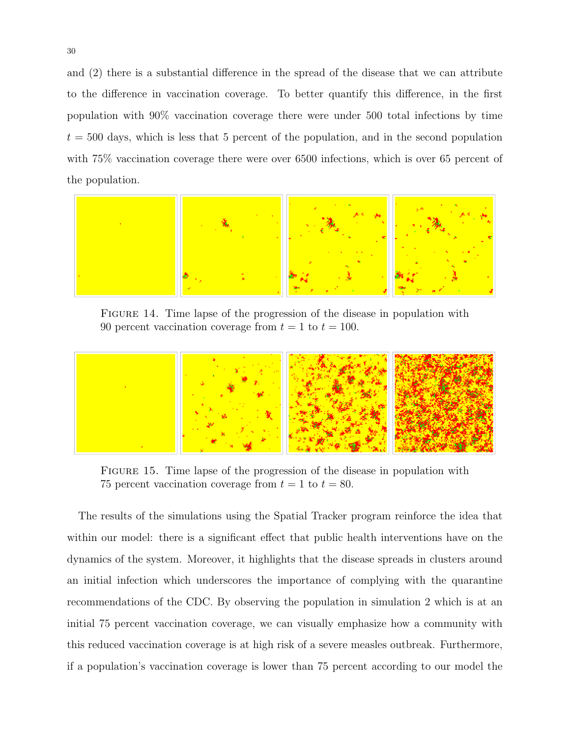and (2) there is a substantial difference in the spread of the disease that we can attribute to the difference in vaccination coverage. To better quantify this difference, in the first population with 90% vaccination coverage there were under 500 total infections by time  $t = 500$  days, which is less that 5 percent of the population, and in the second population with 75% vaccination coverage there were over 6500 infections, which is over 65 percent of the population.



FIGURE 14. Time lapse of the progression of the disease in population with 90 percent vaccination coverage from  $t = 1$  to  $t = 100$ .



FIGURE 15. Time lapse of the progression of the disease in population with 75 percent vaccination coverage from  $t = 1$  to  $t = 80$ .

The results of the simulations using the Spatial Tracker program reinforce the idea that within our model: there is a significant effect that public health interventions have on the dynamics of the system. Moreover, it highlights that the disease spreads in clusters around an initial infection which underscores the importance of complying with the quarantine recommendations of the CDC. By observing the population in simulation 2 which is at an initial 75 percent vaccination coverage, we can visually emphasize how a community with this reduced vaccination coverage is at high risk of a severe measles outbreak. Furthermore, if a population's vaccination coverage is lower than 75 percent according to our model the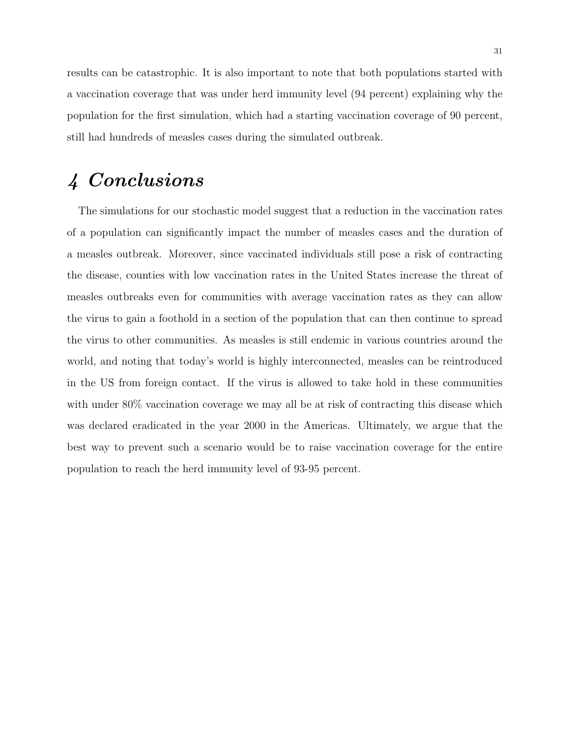results can be catastrophic. It is also important to note that both populations started with a vaccination coverage that was under herd immunity level (94 percent) explaining why the population for the first simulation, which had a starting vaccination coverage of 90 percent, still had hundreds of measles cases during the simulated outbreak.

# 4 Conclusions

The simulations for our stochastic model suggest that a reduction in the vaccination rates of a population can significantly impact the number of measles cases and the duration of a measles outbreak. Moreover, since vaccinated individuals still pose a risk of contracting the disease, counties with low vaccination rates in the United States increase the threat of measles outbreaks even for communities with average vaccination rates as they can allow the virus to gain a foothold in a section of the population that can then continue to spread the virus to other communities. As measles is still endemic in various countries around the world, and noting that today's world is highly interconnected, measles can be reintroduced in the US from foreign contact. If the virus is allowed to take hold in these communities with under 80% vaccination coverage we may all be at risk of contracting this disease which was declared eradicated in the year 2000 in the Americas. Ultimately, we argue that the best way to prevent such a scenario would be to raise vaccination coverage for the entire population to reach the herd immunity level of 93-95 percent.